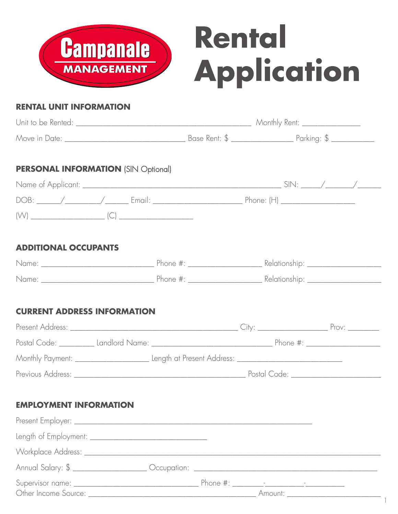

# Rental Application

#### **RENTAL UNIT INFORMATION**

| Unit to be Rented: |               | Monthly Rent: _ |
|--------------------|---------------|-----------------|
| Move in Date:      | Base Rent: \$ | Parking: \$     |

## **PERSONAL INFORMATION** (SIN Optional)

| Name of Applicant: _         |        |            |  |
|------------------------------|--------|------------|--|
| DOB:<br>$\sim$ $\sim$ $\sim$ | Email: | Phone: (H) |  |
| $\mathcal{N}$                |        |            |  |

## **ADDITIONAL OCCUPANTS**

| Name: | Phone $\#$ : | Relationship: |
|-------|--------------|---------------|
| Name: | Phone $#$ :  | Relationship: |

# **CURRENT ADDRESS INFORMATION**

| Present Address:                                                                                                       | $\left($ . If $\vee$                                | $P_{\text{TOV}}$ |
|------------------------------------------------------------------------------------------------------------------------|-----------------------------------------------------|------------------|
| Postal Code: The State of State State State State State State State State State State State State St<br>Landlord Name: | Phone $\#$ :                                        |                  |
| Monthly Payment: <u>__________________________</u>                                                                     | Length at Present Address: ________________________ |                  |
| Previous Address:                                                                                                      | Postal Code:                                        |                  |

#### **EMPLOYMENT INFORMATION**

| Annual Salary: \$ ______________________ Occupation: ____________________________ |  |         |  |  |
|-----------------------------------------------------------------------------------|--|---------|--|--|
|                                                                                   |  | Amount: |  |  |

1